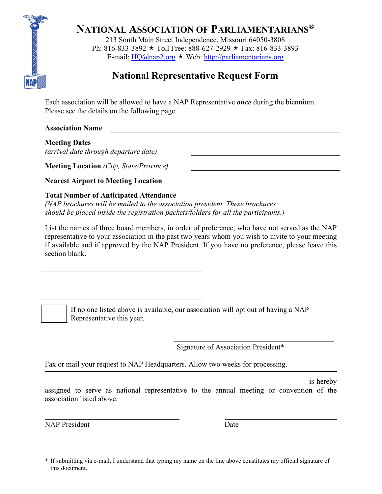

**NATIONAL ASSOCIATION OF PARLIAMENTARIANS®**

213 South Main Street Independence, Missouri 64050-3808 Ph: 816-833-3892  $\star$  Toll Free: 888-627-2929  $\star$  Fax: 816-833-3893 E-mail:  $HO(a)$ nap2.org  $\star$  Web: [http://parliamentarians.org](http://parliamentarians.org/)

# **National Representative Request Form**

Each association will be allowed to have a NAP Representative *once* during the biennium. Please see the details on the following page.

**Association Name**

**Meeting Dates** *(arrival date through departure date)*

**Meeting Location** *(City, State/Province)*

**Nearest Airport to Meeting Location**

## **Total Number of Anticipated Attendance**

*(NAP brochures will be mailed to the association president. These brochures should be placed inside the registration packets/folders for all the participants.)*

List the names of three board members, in order of preference, who have not served as the NAP representative to your association in the past two years whom you wish to invite to your meeting if available and if approved by the NAP President. If you have no preference, please leave this section blank.

If no one listed above is available, our association will opt out of having a NAP Representative this year.

Signature of Association President\*

Fax or mail your request to NAP Headquarters. Allow two weeks for processing.

 $\Box$  is hereby assigned to serve as national representative to the annual meeting or convention of the association listed above.

NAP President Date

<sup>\*</sup> If submitting via e-mail, I understand that typing my name on the line above constitutes my official signature of this document.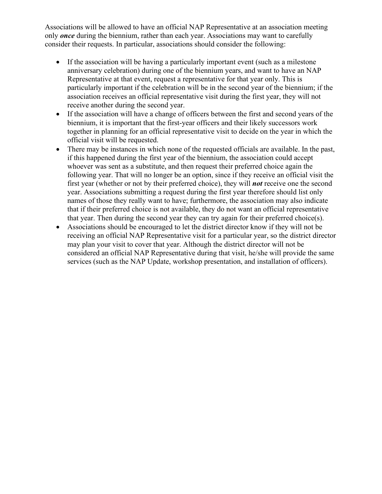Associations will be allowed to have an official NAP Representative at an association meeting only *once* during the biennium, rather than each year. Associations may want to carefully consider their requests. In particular, associations should consider the following:

- If the association will be having a particularly important event (such as a milestone anniversary celebration) during one of the biennium years, and want to have an NAP Representative at that event, request a representative for that year only. This is particularly important if the celebration will be in the second year of the biennium; if the association receives an official representative visit during the first year, they will not receive another during the second year.
- If the association will have a change of officers between the first and second years of the biennium, it is important that the first-year officers and their likely successors work together in planning for an official representative visit to decide on the year in which the official visit will be requested.
- There may be instances in which none of the requested officials are available. In the past, if this happened during the first year of the biennium, the association could accept whoever was sent as a substitute, and then request their preferred choice again the following year. That will no longer be an option, since if they receive an official visit the first year (whether or not by their preferred choice), they will *not* receive one the second year. Associations submitting a request during the first year therefore should list only names of those they really want to have; furthermore, the association may also indicate that if their preferred choice is not available, they do not want an official representative that year. Then during the second year they can try again for their preferred choice(s).
- Associations should be encouraged to let the district director know if they will not be receiving an official NAP Representative visit for a particular year, so the district director may plan your visit to cover that year. Although the district director will not be considered an official NAP Representative during that visit, he/she will provide the same services (such as the NAP Update, workshop presentation, and installation of officers).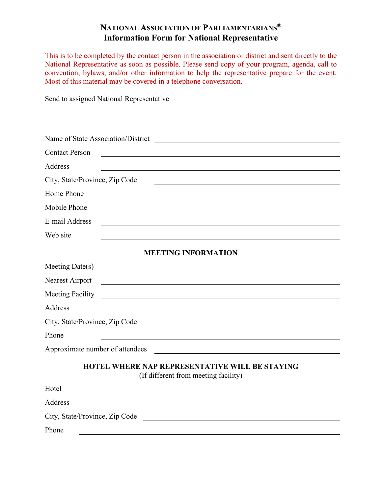## **NATIONAL ASSOCIATION OF PARLIAMENTARIANS® Information Form for National Representative**

This is to be completed by the contact person in the association or district and sent directly to the National Representative as soon as possible. Please send copy of your program, agenda, call to convention, bylaws, and/or other information to help the representative prepare for the event. Most of this material may be covered in a telephone conversation.

Send to assigned National Representative

| Name of State Association/District                                                                                                                      |  |
|---------------------------------------------------------------------------------------------------------------------------------------------------------|--|
| <b>Contact Person</b>                                                                                                                                   |  |
| Address                                                                                                                                                 |  |
| City, State/Province, Zip Code                                                                                                                          |  |
| Home Phone                                                                                                                                              |  |
| Mobile Phone                                                                                                                                            |  |
| E-mail Address                                                                                                                                          |  |
| Web site                                                                                                                                                |  |
| <b>MEETING INFORMATION</b>                                                                                                                              |  |
| Meeting $Date(s)$                                                                                                                                       |  |
| Nearest Airport<br><u> 1980 - Johann Barn, mars ann an t-Amhain Aonaich an t-Aonaich an t-Aonaich ann an t-Aonaich ann an t-Aonaich</u>                 |  |
| <b>Meeting Facility</b>                                                                                                                                 |  |
| Address                                                                                                                                                 |  |
| City, State/Province, Zip Code                                                                                                                          |  |
| Phone                                                                                                                                                   |  |
| Approximate number of attendees<br><u> 1989 - Johann Stein, mars an deutscher Stein und der Stein und der Stein und der Stein und der Stein und der</u> |  |
| <b>HOTEL WHERE NAP REPRESENTATIVE WILL BE STAYING</b><br>(If different from meeting facility)                                                           |  |
| Hotel                                                                                                                                                   |  |
| Address                                                                                                                                                 |  |
| City, State/Province, Zip Code                                                                                                                          |  |
| Phone                                                                                                                                                   |  |